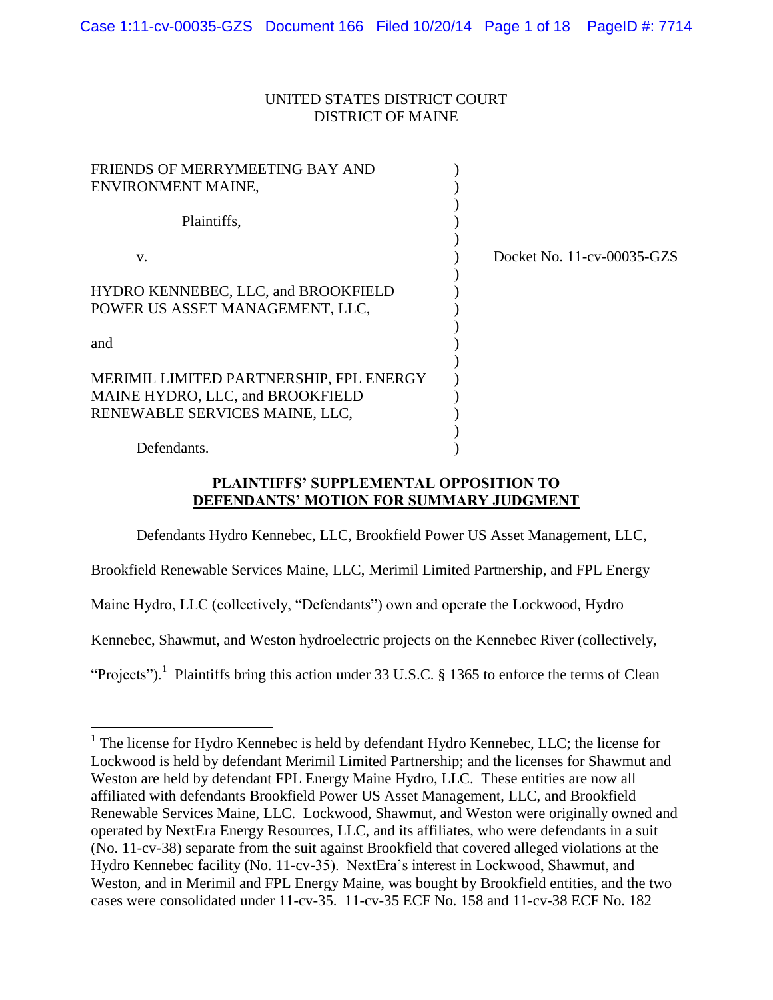## UNITED STATES DISTRICT COURT DISTRICT OF MAINE

| FRIENDS OF MERRYMEETING BAY AND<br>ENVIRONMENT MAINE,                                                         |                            |
|---------------------------------------------------------------------------------------------------------------|----------------------------|
| Plaintiffs,                                                                                                   |                            |
| V.                                                                                                            | Docket No. 11-cv-00035-GZS |
| HYDRO KENNEBEC, LLC, and BROOKFIELD<br>POWER US ASSET MANAGEMENT, LLC,                                        |                            |
| and                                                                                                           |                            |
| MERIMIL LIMITED PARTNERSHIP, FPL ENERGY<br>MAINE HYDRO, LLC, and BROOKFIELD<br>RENEWABLE SERVICES MAINE, LLC, |                            |
| Defendants.                                                                                                   |                            |

# **PLAINTIFFS' SUPPLEMENTAL OPPOSITION TO DEFENDANTS' MOTION FOR SUMMARY JUDGMENT**

Defendants Hydro Kennebec, LLC, Brookfield Power US Asset Management, LLC,

Brookfield Renewable Services Maine, LLC, Merimil Limited Partnership, and FPL Energy

Maine Hydro, LLC (collectively, "Defendants") own and operate the Lockwood, Hydro

 $\overline{a}$ 

Kennebec, Shawmut, and Weston hydroelectric projects on the Kennebec River (collectively,

"Projects").<sup>1</sup> Plaintiffs bring this action under 33 U.S.C. § 1365 to enforce the terms of Clean

<sup>&</sup>lt;sup>1</sup> The license for Hydro Kennebec is held by defendant Hydro Kennebec, LLC; the license for Lockwood is held by defendant Merimil Limited Partnership; and the licenses for Shawmut and Weston are held by defendant FPL Energy Maine Hydro, LLC. These entities are now all affiliated with defendants Brookfield Power US Asset Management, LLC, and Brookfield Renewable Services Maine, LLC. Lockwood, Shawmut, and Weston were originally owned and operated by NextEra Energy Resources, LLC, and its affiliates, who were defendants in a suit (No. 11-cv-38) separate from the suit against Brookfield that covered alleged violations at the Hydro Kennebec facility (No. 11-cv-35). NextEra's interest in Lockwood, Shawmut, and Weston, and in Merimil and FPL Energy Maine, was bought by Brookfield entities, and the two cases were consolidated under 11-cv-35. 11-cv-35 ECF No. 158 and 11-cv-38 ECF No. 182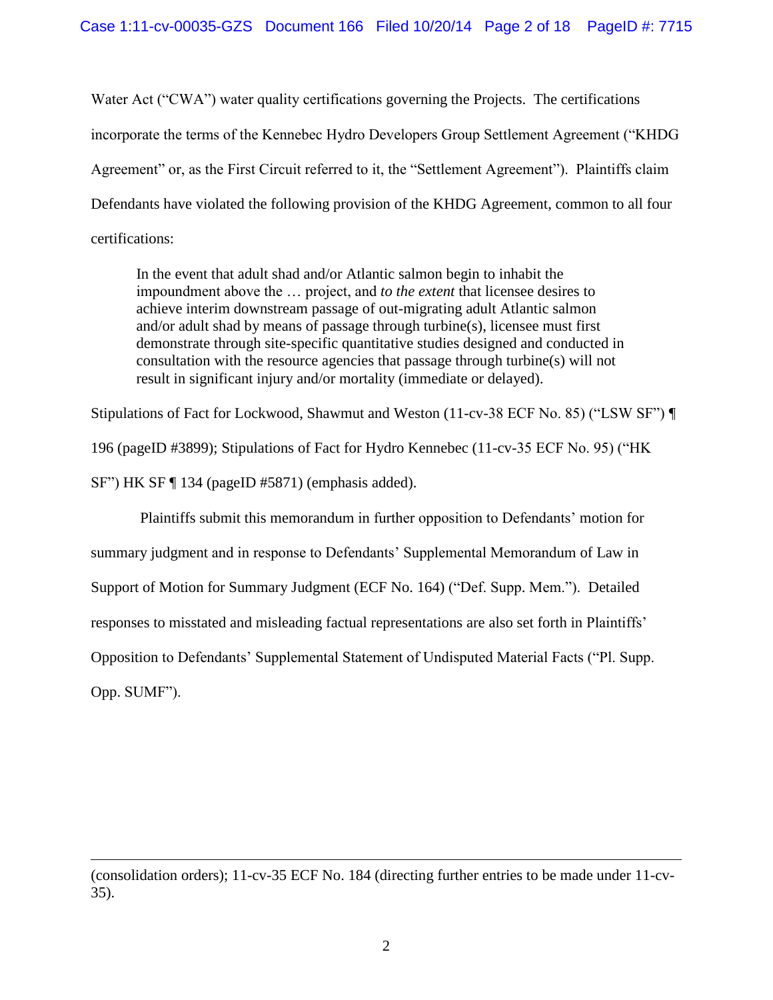Water Act ("CWA") water quality certifications governing the Projects. The certifications incorporate the terms of the Kennebec Hydro Developers Group Settlement Agreement ("KHDG Agreement" or, as the First Circuit referred to it, the "Settlement Agreement"). Plaintiffs claim Defendants have violated the following provision of the KHDG Agreement, common to all four certifications:

In the event that adult shad and/or Atlantic salmon begin to inhabit the impoundment above the … project, and *to the extent* that licensee desires to achieve interim downstream passage of out-migrating adult Atlantic salmon and/or adult shad by means of passage through turbine(s), licensee must first demonstrate through site-specific quantitative studies designed and conducted in consultation with the resource agencies that passage through turbine(s) will not result in significant injury and/or mortality (immediate or delayed).

Stipulations of Fact for Lockwood, Shawmut and Weston (11-cv-38 ECF No. 85) ("LSW SF") ¶ 196 (pageID #3899); Stipulations of Fact for Hydro Kennebec (11-cv-35 ECF No. 95) ("HK SF") HK SF ¶ 134 (pageID #5871) (emphasis added).

Plaintiffs submit this memorandum in further opposition to Defendants' motion for summary judgment and in response to Defendants' Supplemental Memorandum of Law in Support of Motion for Summary Judgment (ECF No. 164) ("Def. Supp. Mem."). Detailed responses to misstated and misleading factual representations are also set forth in Plaintiffs' Opposition to Defendants' Supplemental Statement of Undisputed Material Facts ("Pl. Supp. Opp. SUMF").

<sup>(</sup>consolidation orders); 11-cv-35 ECF No. 184 (directing further entries to be made under 11-cv-35).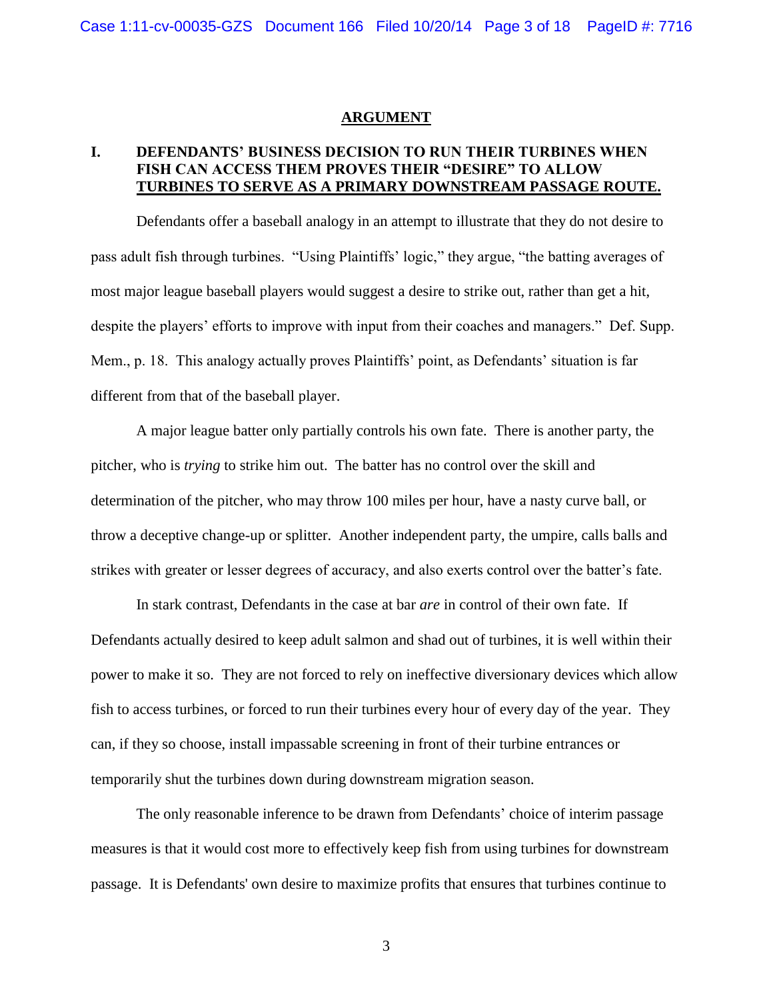#### **ARGUMENT**

# **I. DEFENDANTS' BUSINESS DECISION TO RUN THEIR TURBINES WHEN FISH CAN ACCESS THEM PROVES THEIR "DESIRE" TO ALLOW TURBINES TO SERVE AS A PRIMARY DOWNSTREAM PASSAGE ROUTE.**

Defendants offer a baseball analogy in an attempt to illustrate that they do not desire to pass adult fish through turbines. "Using Plaintiffs' logic," they argue, "the batting averages of most major league baseball players would suggest a desire to strike out, rather than get a hit, despite the players' efforts to improve with input from their coaches and managers." Def. Supp. Mem., p. 18. This analogy actually proves Plaintiffs' point, as Defendants' situation is far different from that of the baseball player.

A major league batter only partially controls his own fate. There is another party, the pitcher, who is *trying* to strike him out. The batter has no control over the skill and determination of the pitcher, who may throw 100 miles per hour, have a nasty curve ball, or throw a deceptive change-up or splitter. Another independent party, the umpire, calls balls and strikes with greater or lesser degrees of accuracy, and also exerts control over the batter's fate.

In stark contrast, Defendants in the case at bar *are* in control of their own fate. If Defendants actually desired to keep adult salmon and shad out of turbines, it is well within their power to make it so. They are not forced to rely on ineffective diversionary devices which allow fish to access turbines, or forced to run their turbines every hour of every day of the year. They can, if they so choose, install impassable screening in front of their turbine entrances or temporarily shut the turbines down during downstream migration season.

The only reasonable inference to be drawn from Defendants' choice of interim passage measures is that it would cost more to effectively keep fish from using turbines for downstream passage. It is Defendants' own desire to maximize profits that ensures that turbines continue to

3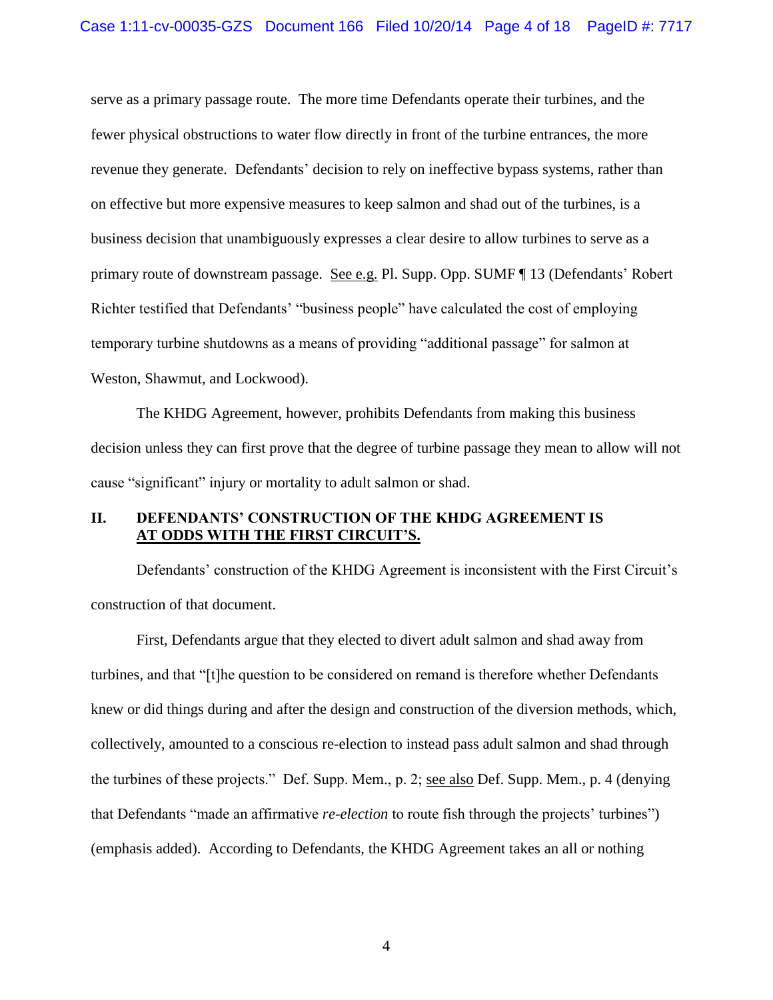serve as a primary passage route. The more time Defendants operate their turbines, and the fewer physical obstructions to water flow directly in front of the turbine entrances, the more revenue they generate. Defendants' decision to rely on ineffective bypass systems, rather than on effective but more expensive measures to keep salmon and shad out of the turbines, is a business decision that unambiguously expresses a clear desire to allow turbines to serve as a primary route of downstream passage. See e.g. Pl. Supp. Opp. SUMF ¶ 13 (Defendants' Robert Richter testified that Defendants' "business people" have calculated the cost of employing temporary turbine shutdowns as a means of providing "additional passage" for salmon at Weston, Shawmut, and Lockwood).

The KHDG Agreement, however, prohibits Defendants from making this business decision unless they can first prove that the degree of turbine passage they mean to allow will not cause "significant" injury or mortality to adult salmon or shad.

# **II. DEFENDANTS' CONSTRUCTION OF THE KHDG AGREEMENT IS AT ODDS WITH THE FIRST CIRCUIT'S.**

Defendants' construction of the KHDG Agreement is inconsistent with the First Circuit's construction of that document.

First, Defendants argue that they elected to divert adult salmon and shad away from turbines, and that "[t]he question to be considered on remand is therefore whether Defendants knew or did things during and after the design and construction of the diversion methods, which, collectively, amounted to a conscious re-election to instead pass adult salmon and shad through the turbines of these projects." Def. Supp. Mem., p. 2; see also Def. Supp. Mem., p. 4 (denying that Defendants "made an affirmative *re-election* to route fish through the projects' turbines") (emphasis added). According to Defendants, the KHDG Agreement takes an all or nothing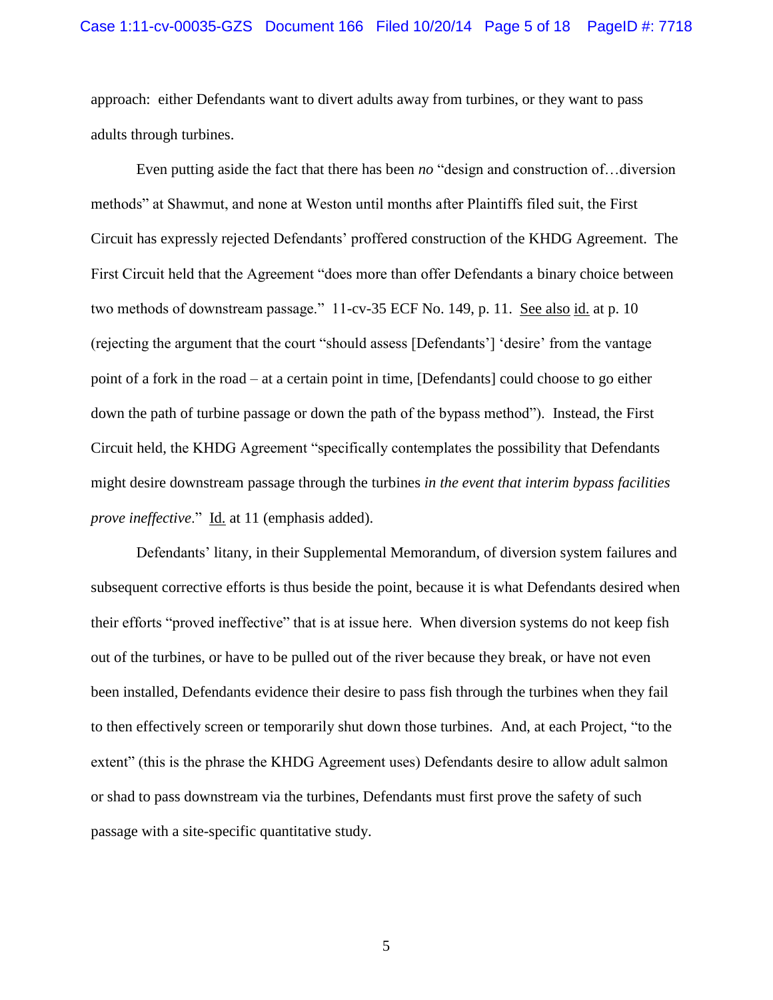approach: either Defendants want to divert adults away from turbines, or they want to pass adults through turbines.

Even putting aside the fact that there has been *no* "design and construction of…diversion methods" at Shawmut, and none at Weston until months after Plaintiffs filed suit, the First Circuit has expressly rejected Defendants' proffered construction of the KHDG Agreement. The First Circuit held that the Agreement "does more than offer Defendants a binary choice between two methods of downstream passage." 11-cv-35 ECF No. 149, p. 11. See also id. at p. 10 (rejecting the argument that the court "should assess [Defendants'] 'desire' from the vantage point of a fork in the road – at a certain point in time, [Defendants] could choose to go either down the path of turbine passage or down the path of the bypass method"). Instead, the First Circuit held, the KHDG Agreement "specifically contemplates the possibility that Defendants might desire downstream passage through the turbines *in the event that interim bypass facilities prove ineffective*." Id. at 11 (emphasis added).

Defendants' litany, in their Supplemental Memorandum, of diversion system failures and subsequent corrective efforts is thus beside the point, because it is what Defendants desired when their efforts "proved ineffective" that is at issue here. When diversion systems do not keep fish out of the turbines, or have to be pulled out of the river because they break, or have not even been installed, Defendants evidence their desire to pass fish through the turbines when they fail to then effectively screen or temporarily shut down those turbines. And, at each Project, "to the extent" (this is the phrase the KHDG Agreement uses) Defendants desire to allow adult salmon or shad to pass downstream via the turbines, Defendants must first prove the safety of such passage with a site-specific quantitative study.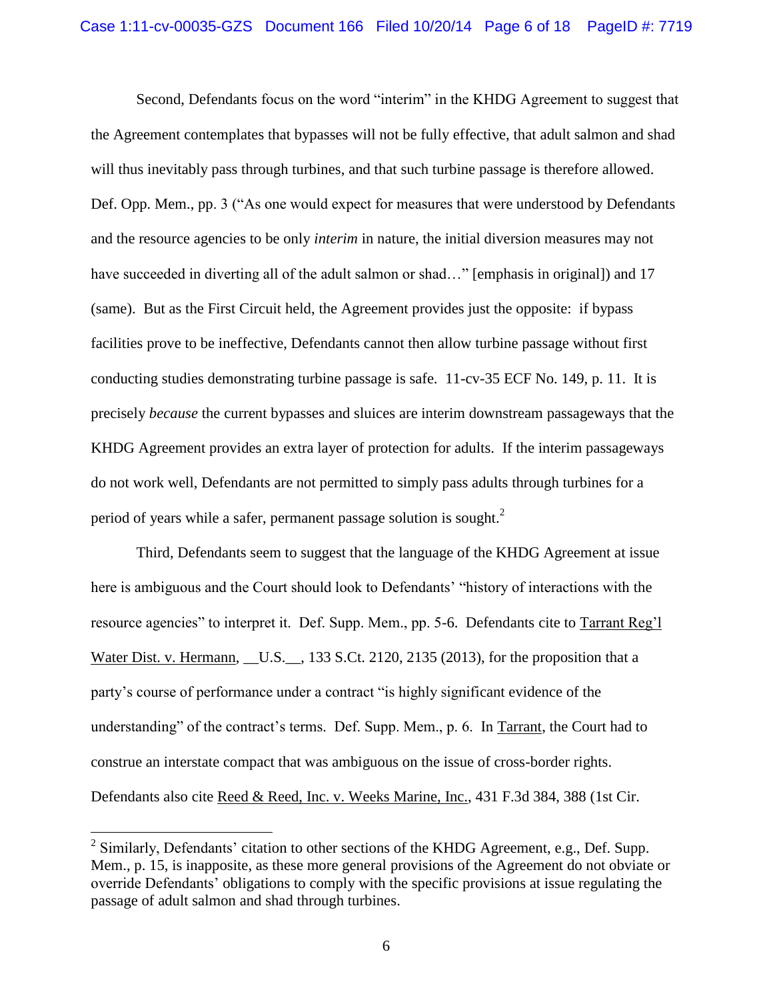Second, Defendants focus on the word "interim" in the KHDG Agreement to suggest that the Agreement contemplates that bypasses will not be fully effective, that adult salmon and shad will thus inevitably pass through turbines, and that such turbine passage is therefore allowed. Def. Opp. Mem., pp. 3 ("As one would expect for measures that were understood by Defendants and the resource agencies to be only *interim* in nature, the initial diversion measures may not have succeeded in diverting all of the adult salmon or shad..." [emphasis in original]) and 17 (same). But as the First Circuit held, the Agreement provides just the opposite: if bypass facilities prove to be ineffective, Defendants cannot then allow turbine passage without first conducting studies demonstrating turbine passage is safe. 11-cv-35 ECF No. 149, p. 11. It is precisely *because* the current bypasses and sluices are interim downstream passageways that the KHDG Agreement provides an extra layer of protection for adults. If the interim passageways do not work well, Defendants are not permitted to simply pass adults through turbines for a period of years while a safer, permanent passage solution is sought. $^2$ 

Third, Defendants seem to suggest that the language of the KHDG Agreement at issue here is ambiguous and the Court should look to Defendants' "history of interactions with the resource agencies" to interpret it. Def. Supp. Mem., pp. 5-6. Defendants cite to Tarrant Reg'l Water Dist. v. Hermann, \_\_U.S.\_\_, 133 S.Ct. 2120, 2135 (2013), for the proposition that a party's course of performance under a contract "is highly significant evidence of the understanding" of the contract's terms. Def. Supp. Mem., p. 6. In Tarrant, the Court had to construe an interstate compact that was ambiguous on the issue of cross-border rights. Defendants also cite Reed & Reed, Inc. v. Weeks Marine, Inc., 431 F.3d 384, 388 (1st Cir.

<sup>&</sup>lt;sup>2</sup> Similarly, Defendants' citation to other sections of the KHDG Agreement, e.g., Def. Supp. Mem., p. 15, is inapposite, as these more general provisions of the Agreement do not obviate or override Defendants' obligations to comply with the specific provisions at issue regulating the passage of adult salmon and shad through turbines.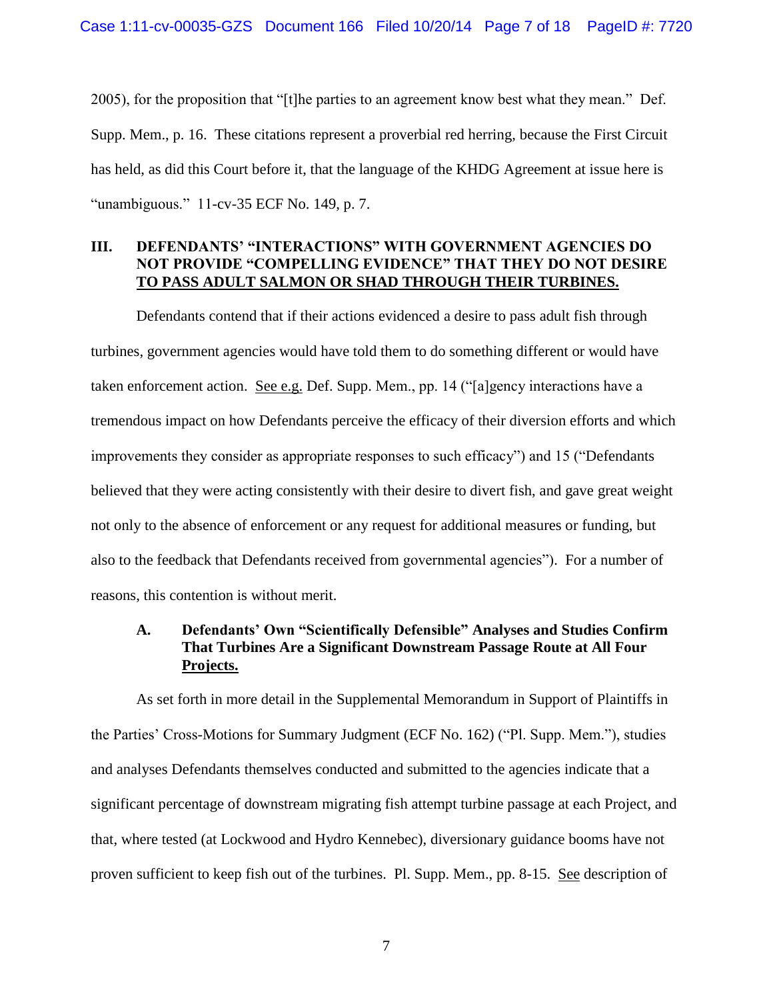2005), for the proposition that "[t]he parties to an agreement know best what they mean." Def. Supp. Mem., p. 16. These citations represent a proverbial red herring, because the First Circuit has held, as did this Court before it, that the language of the KHDG Agreement at issue here is "unambiguous." 11-cv-35 ECF No. 149, p. 7.

## **III. DEFENDANTS' "INTERACTIONS" WITH GOVERNMENT AGENCIES DO NOT PROVIDE "COMPELLING EVIDENCE" THAT THEY DO NOT DESIRE TO PASS ADULT SALMON OR SHAD THROUGH THEIR TURBINES.**

Defendants contend that if their actions evidenced a desire to pass adult fish through turbines, government agencies would have told them to do something different or would have taken enforcement action. See e.g. Def. Supp. Mem., pp. 14 ("[a]gency interactions have a tremendous impact on how Defendants perceive the efficacy of their diversion efforts and which improvements they consider as appropriate responses to such efficacy") and 15 ("Defendants believed that they were acting consistently with their desire to divert fish, and gave great weight not only to the absence of enforcement or any request for additional measures or funding, but also to the feedback that Defendants received from governmental agencies"). For a number of reasons, this contention is without merit.

# **A. Defendants' Own "Scientifically Defensible" Analyses and Studies Confirm That Turbines Are a Significant Downstream Passage Route at All Four Projects.**

As set forth in more detail in the Supplemental Memorandum in Support of Plaintiffs in the Parties' Cross-Motions for Summary Judgment (ECF No. 162) ("Pl. Supp. Mem."), studies and analyses Defendants themselves conducted and submitted to the agencies indicate that a significant percentage of downstream migrating fish attempt turbine passage at each Project, and that, where tested (at Lockwood and Hydro Kennebec), diversionary guidance booms have not proven sufficient to keep fish out of the turbines. Pl. Supp. Mem., pp. 8-15. See description of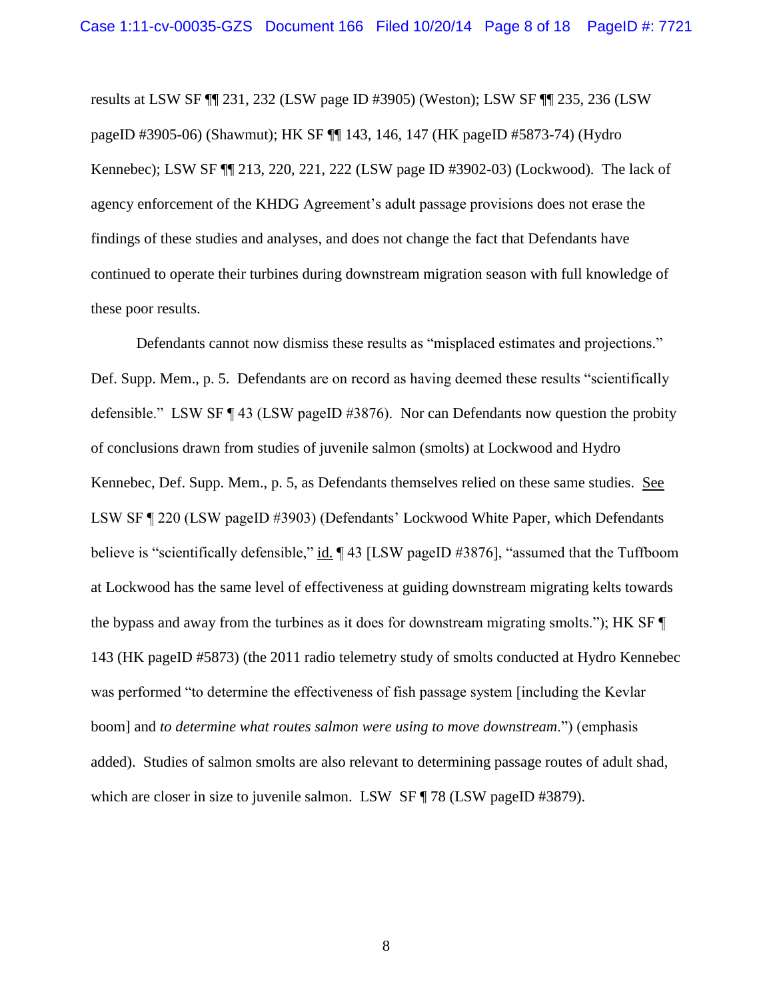results at LSW SF ¶¶ 231, 232 (LSW page ID #3905) (Weston); LSW SF ¶¶ 235, 236 (LSW pageID #3905-06) (Shawmut); HK SF ¶¶ 143, 146, 147 (HK pageID #5873-74) (Hydro Kennebec); LSW SF ¶¶ 213, 220, 221, 222 (LSW page ID #3902-03) (Lockwood). The lack of agency enforcement of the KHDG Agreement's adult passage provisions does not erase the findings of these studies and analyses, and does not change the fact that Defendants have continued to operate their turbines during downstream migration season with full knowledge of these poor results.

Defendants cannot now dismiss these results as "misplaced estimates and projections." Def. Supp. Mem., p. 5. Defendants are on record as having deemed these results "scientifically defensible." LSW SF ¶ 43 (LSW pageID #3876). Nor can Defendants now question the probity of conclusions drawn from studies of juvenile salmon (smolts) at Lockwood and Hydro Kennebec, Def. Supp. Mem., p. 5, as Defendants themselves relied on these same studies. See LSW SF ¶ 220 (LSW pageID #3903) (Defendants' Lockwood White Paper, which Defendants believe is "scientifically defensible," id. ¶ 43 [LSW pageID #3876], "assumed that the Tuffboom at Lockwood has the same level of effectiveness at guiding downstream migrating kelts towards the bypass and away from the turbines as it does for downstream migrating smolts."); HK SF ¶ 143 (HK pageID #5873) (the 2011 radio telemetry study of smolts conducted at Hydro Kennebec was performed "to determine the effectiveness of fish passage system [including the Kevlar boom] and *to determine what routes salmon were using to move downstream*.") (emphasis added). Studies of salmon smolts are also relevant to determining passage routes of adult shad, which are closer in size to juvenile salmon. LSW SF ¶ 78 (LSW pageID #3879).

8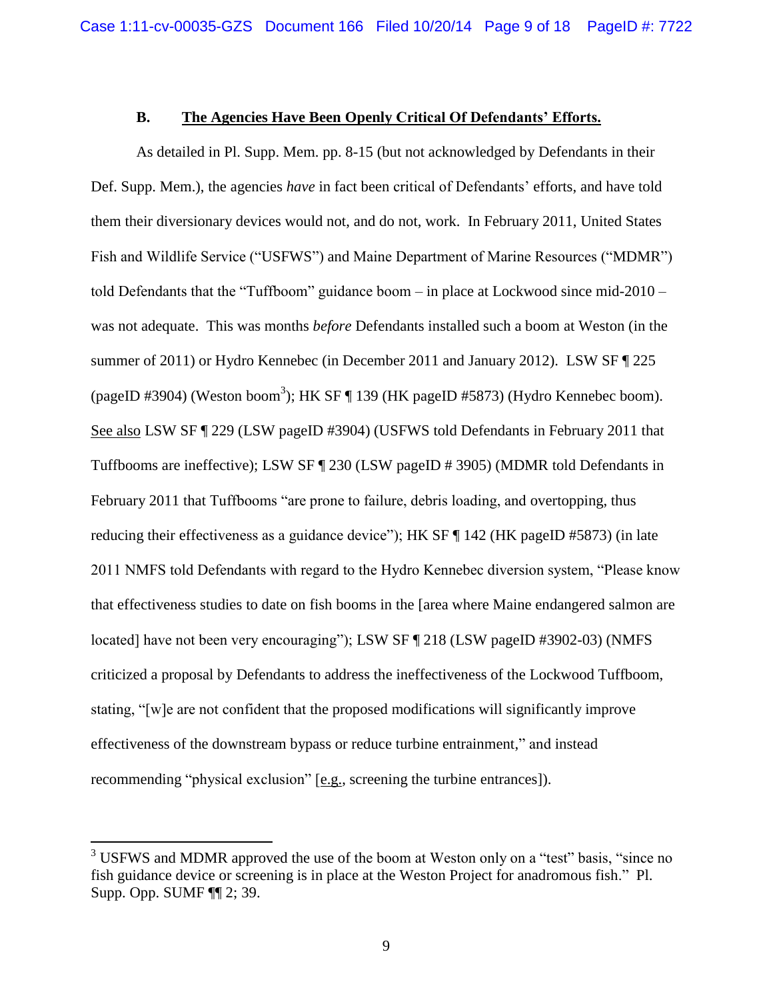### **B. The Agencies Have Been Openly Critical Of Defendants' Efforts.**

As detailed in Pl. Supp. Mem. pp. 8-15 (but not acknowledged by Defendants in their Def. Supp. Mem.), the agencies *have* in fact been critical of Defendants' efforts, and have told them their diversionary devices would not, and do not, work. In February 2011, United States Fish and Wildlife Service ("USFWS") and Maine Department of Marine Resources ("MDMR") told Defendants that the "Tuffboom" guidance boom – in place at Lockwood since mid-2010 – was not adequate. This was months *before* Defendants installed such a boom at Weston (in the summer of 2011) or Hydro Kennebec (in December 2011 and January 2012). LSW SF ¶ 225 (pageID #3904) (Weston boom<sup>3</sup>); HK SF ¶ 139 (HK pageID #5873) (Hydro Kennebec boom). See also LSW SF ¶ 229 (LSW pageID #3904) (USFWS told Defendants in February 2011 that Tuffbooms are ineffective); LSW SF ¶ 230 (LSW pageID # 3905) (MDMR told Defendants in February 2011 that Tuffbooms "are prone to failure, debris loading, and overtopping, thus reducing their effectiveness as a guidance device"); HK SF ¶ 142 (HK pageID #5873) (in late 2011 NMFS told Defendants with regard to the Hydro Kennebec diversion system, "Please know that effectiveness studies to date on fish booms in the [area where Maine endangered salmon are located] have not been very encouraging"); LSW SF ¶ 218 (LSW pageID #3902-03) (NMFS criticized a proposal by Defendants to address the ineffectiveness of the Lockwood Tuffboom, stating, "[w]e are not confident that the proposed modifications will significantly improve effectiveness of the downstream bypass or reduce turbine entrainment," and instead recommending "physical exclusion" [e.g., screening the turbine entrances]).

<sup>&</sup>lt;sup>3</sup> USFWS and MDMR approved the use of the boom at Weston only on a "test" basis, "since no fish guidance device or screening is in place at the Weston Project for anadromous fish." Pl. Supp. Opp. SUMF ¶¶ 2; 39.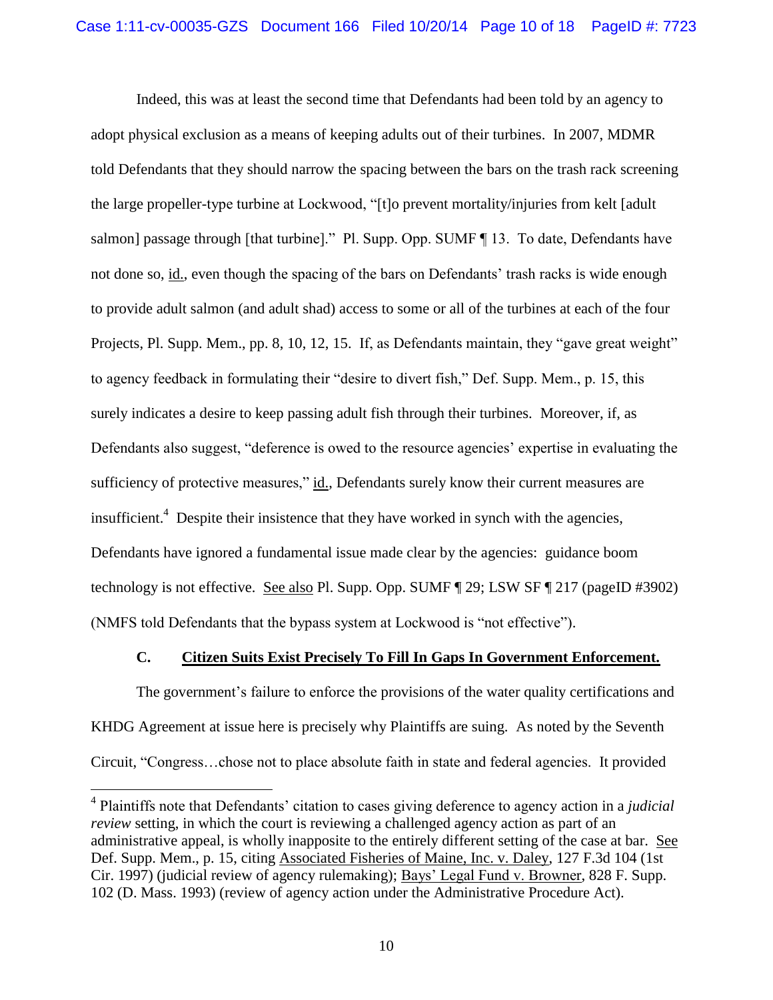Indeed, this was at least the second time that Defendants had been told by an agency to adopt physical exclusion as a means of keeping adults out of their turbines. In 2007, MDMR told Defendants that they should narrow the spacing between the bars on the trash rack screening the large propeller-type turbine at Lockwood, "[t]o prevent mortality/injuries from kelt [adult salmon] passage through [that turbine]." Pl. Supp. Opp. SUMF ¶ 13. To date, Defendants have not done so, id., even though the spacing of the bars on Defendants' trash racks is wide enough to provide adult salmon (and adult shad) access to some or all of the turbines at each of the four Projects, Pl. Supp. Mem., pp. 8, 10, 12, 15. If, as Defendants maintain, they "gave great weight" to agency feedback in formulating their "desire to divert fish," Def. Supp. Mem., p. 15, this surely indicates a desire to keep passing adult fish through their turbines. Moreover, if, as Defendants also suggest, "deference is owed to the resource agencies' expertise in evaluating the sufficiency of protective measures," id., Defendants surely know their current measures are insufficient.<sup>4</sup> Despite their insistence that they have worked in synch with the agencies, Defendants have ignored a fundamental issue made clear by the agencies: guidance boom technology is not effective. See also Pl. Supp. Opp. SUMF ¶ 29; LSW SF ¶ 217 (pageID #3902) (NMFS told Defendants that the bypass system at Lockwood is "not effective").

### **C. Citizen Suits Exist Precisely To Fill In Gaps In Government Enforcement.**

The government's failure to enforce the provisions of the water quality certifications and KHDG Agreement at issue here is precisely why Plaintiffs are suing. As noted by the Seventh Circuit, "Congress…chose not to place absolute faith in state and federal agencies. It provided

<sup>4</sup> Plaintiffs note that Defendants' citation to cases giving deference to agency action in a *judicial review* setting, in which the court is reviewing a challenged agency action as part of an administrative appeal, is wholly inapposite to the entirely different setting of the case at bar. See Def. Supp. Mem., p. 15, citing Associated Fisheries of Maine, Inc. v. Daley, 127 F.3d 104 (1st Cir. 1997) (judicial review of agency rulemaking); Bays' Legal Fund v. Browner, 828 F. Supp. 102 (D. Mass. 1993) (review of agency action under the Administrative Procedure Act).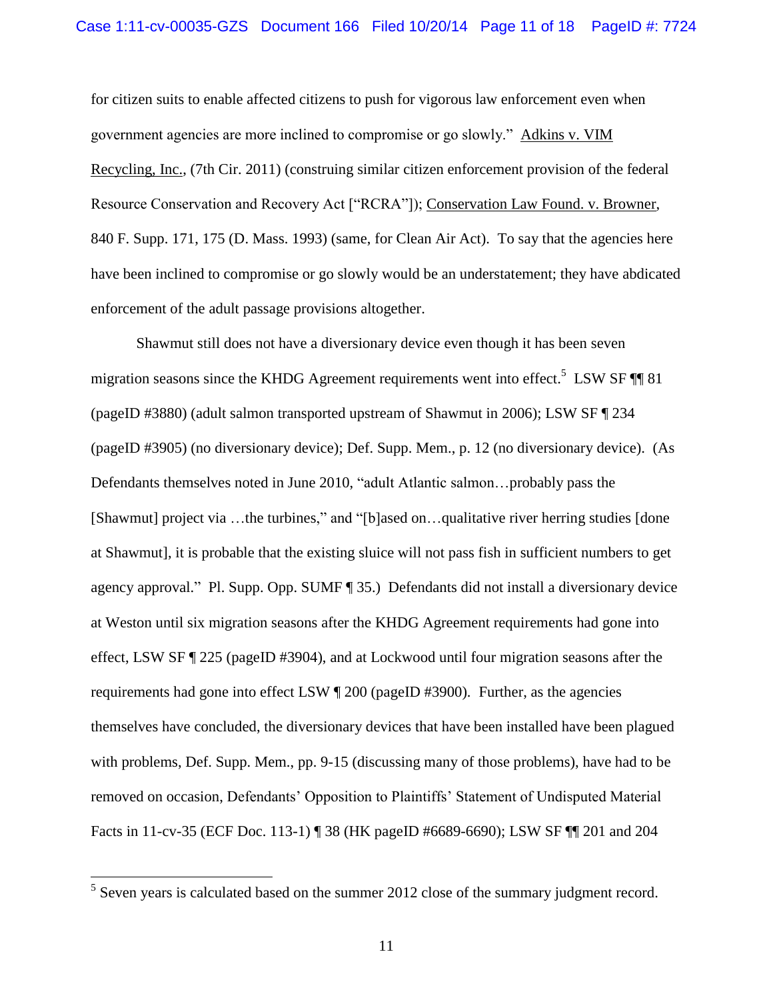for citizen suits to enable affected citizens to push for vigorous law enforcement even when government agencies are more inclined to compromise or go slowly." Adkins v. VIM Recycling, Inc., (7th Cir. 2011) (construing similar citizen enforcement provision of the federal Resource Conservation and Recovery Act ["RCRA"]); Conservation Law Found. v. Browner, 840 F. Supp. 171, 175 (D. Mass. 1993) (same, for Clean Air Act). To say that the agencies here have been inclined to compromise or go slowly would be an understatement; they have abdicated enforcement of the adult passage provisions altogether.

Shawmut still does not have a diversionary device even though it has been seven migration seasons since the KHDG Agreement requirements went into effect.<sup>5</sup> LSW SF  $\P\P$  81 (pageID #3880) (adult salmon transported upstream of Shawmut in 2006); LSW SF ¶ 234 (pageID #3905) (no diversionary device); Def. Supp. Mem., p. 12 (no diversionary device). (As Defendants themselves noted in June 2010, "adult Atlantic salmon…probably pass the [Shawmut] project via …the turbines," and "[b]ased on…qualitative river herring studies [done at Shawmut], it is probable that the existing sluice will not pass fish in sufficient numbers to get agency approval." Pl. Supp. Opp. SUMF ¶ 35.) Defendants did not install a diversionary device at Weston until six migration seasons after the KHDG Agreement requirements had gone into effect, LSW SF ¶ 225 (pageID #3904), and at Lockwood until four migration seasons after the requirements had gone into effect LSW ¶ 200 (pageID #3900). Further, as the agencies themselves have concluded, the diversionary devices that have been installed have been plagued with problems, Def. Supp. Mem., pp. 9-15 (discussing many of those problems), have had to be removed on occasion, Defendants' Opposition to Plaintiffs' Statement of Undisputed Material Facts in 11-cv-35 (ECF Doc. 113-1) ¶ 38 (HK pageID #6689-6690); LSW SF ¶¶ 201 and 204

 $<sup>5</sup>$  Seven years is calculated based on the summer 2012 close of the summary judgment record.</sup>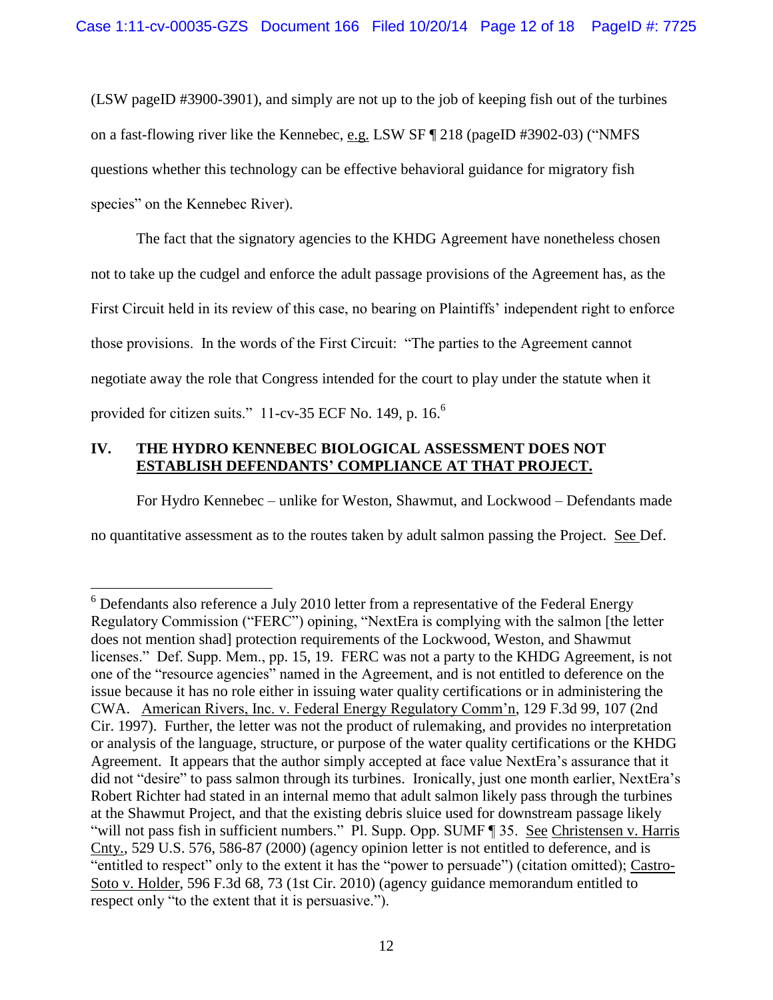(LSW pageID #3900-3901), and simply are not up to the job of keeping fish out of the turbines on a fast-flowing river like the Kennebec, e.g. LSW SF ¶ 218 (pageID #3902-03) ("NMFS questions whether this technology can be effective behavioral guidance for migratory fish species" on the Kennebec River).

The fact that the signatory agencies to the KHDG Agreement have nonetheless chosen not to take up the cudgel and enforce the adult passage provisions of the Agreement has, as the First Circuit held in its review of this case, no bearing on Plaintiffs' independent right to enforce those provisions. In the words of the First Circuit: "The parties to the Agreement cannot negotiate away the role that Congress intended for the court to play under the statute when it provided for citizen suits." 11-cv-35 ECF No. 149, p. 16.<sup>6</sup>

# **IV. THE HYDRO KENNEBEC BIOLOGICAL ASSESSMENT DOES NOT ESTABLISH DEFENDANTS' COMPLIANCE AT THAT PROJECT.**

 $\overline{a}$ 

For Hydro Kennebec – unlike for Weston, Shawmut, and Lockwood – Defendants made no quantitative assessment as to the routes taken by adult salmon passing the Project. See Def.

 $6$  Defendants also reference a July 2010 letter from a representative of the Federal Energy Regulatory Commission ("FERC") opining, "NextEra is complying with the salmon [the letter does not mention shad] protection requirements of the Lockwood, Weston, and Shawmut licenses." Def. Supp. Mem., pp. 15, 19. FERC was not a party to the KHDG Agreement, is not one of the "resource agencies" named in the Agreement, and is not entitled to deference on the issue because it has no role either in issuing water quality certifications or in administering the CWA. American Rivers, Inc. v. Federal Energy Regulatory Comm'n, 129 F.3d 99, 107 (2nd Cir. 1997). Further, the letter was not the product of rulemaking, and provides no interpretation or analysis of the language, structure, or purpose of the water quality certifications or the KHDG Agreement. It appears that the author simply accepted at face value NextEra's assurance that it did not "desire" to pass salmon through its turbines. Ironically, just one month earlier, NextEra's Robert Richter had stated in an internal memo that adult salmon likely pass through the turbines at the Shawmut Project, and that the existing debris sluice used for downstream passage likely "will not pass fish in sufficient numbers." Pl. Supp. Opp. SUMF ¶ 35. See Christensen v. Harris Cnty., 529 U.S. 576, 586-87 (2000) (agency opinion letter is not entitled to deference, and is "entitled to respect" only to the extent it has the "power to persuade") (citation omitted); Castro-Soto v. Holder, 596 F.3d 68, 73 (1st Cir. 2010) (agency guidance memorandum entitled to respect only "to the extent that it is persuasive.").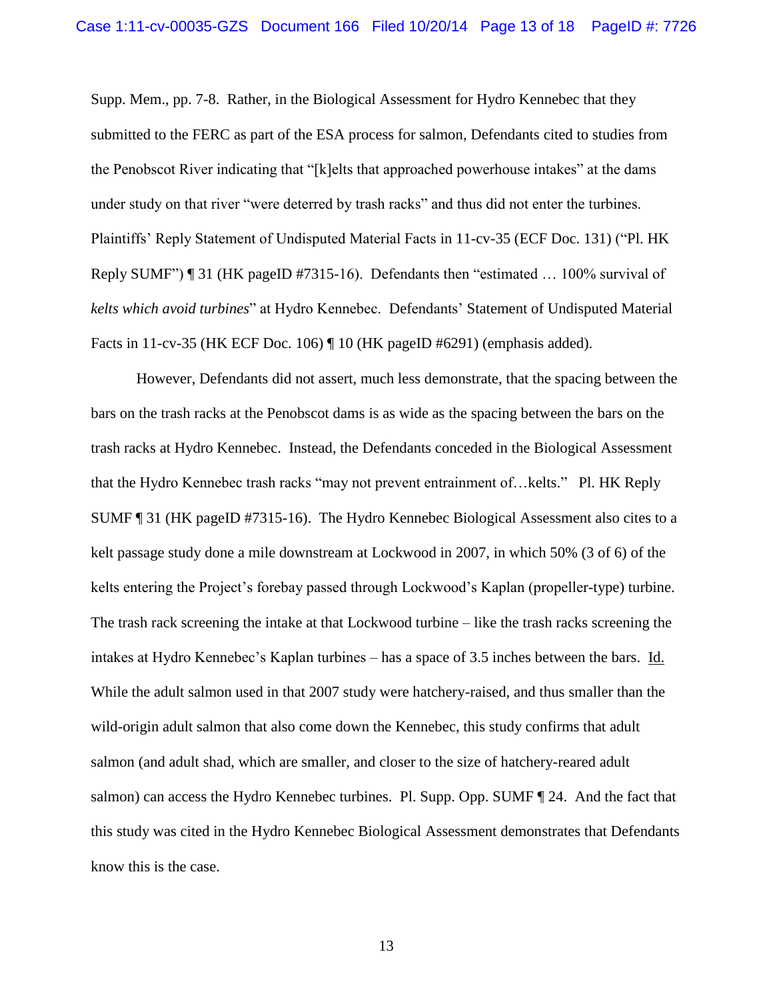Supp. Mem., pp. 7-8. Rather, in the Biological Assessment for Hydro Kennebec that they submitted to the FERC as part of the ESA process for salmon, Defendants cited to studies from the Penobscot River indicating that "[k]elts that approached powerhouse intakes" at the dams under study on that river "were deterred by trash racks" and thus did not enter the turbines. Plaintiffs' Reply Statement of Undisputed Material Facts in 11-cv-35 (ECF Doc. 131) ("Pl. HK Reply SUMF") ¶ 31 (HK pageID #7315-16). Defendants then "estimated … 100% survival of *kelts which avoid turbines*" at Hydro Kennebec. Defendants' Statement of Undisputed Material Facts in 11-cv-35 (HK ECF Doc. 106) ¶ 10 (HK pageID #6291) (emphasis added).

However, Defendants did not assert, much less demonstrate, that the spacing between the bars on the trash racks at the Penobscot dams is as wide as the spacing between the bars on the trash racks at Hydro Kennebec. Instead, the Defendants conceded in the Biological Assessment that the Hydro Kennebec trash racks "may not prevent entrainment of…kelts." Pl. HK Reply SUMF ¶ 31 (HK pageID #7315-16). The Hydro Kennebec Biological Assessment also cites to a kelt passage study done a mile downstream at Lockwood in 2007, in which 50% (3 of 6) of the kelts entering the Project's forebay passed through Lockwood's Kaplan (propeller-type) turbine. The trash rack screening the intake at that Lockwood turbine – like the trash racks screening the intakes at Hydro Kennebec's Kaplan turbines – has a space of 3.5 inches between the bars. Id. While the adult salmon used in that 2007 study were hatchery-raised, and thus smaller than the wild-origin adult salmon that also come down the Kennebec, this study confirms that adult salmon (and adult shad, which are smaller, and closer to the size of hatchery-reared adult salmon) can access the Hydro Kennebec turbines. Pl. Supp. Opp. SUMF ¶ 24. And the fact that this study was cited in the Hydro Kennebec Biological Assessment demonstrates that Defendants know this is the case.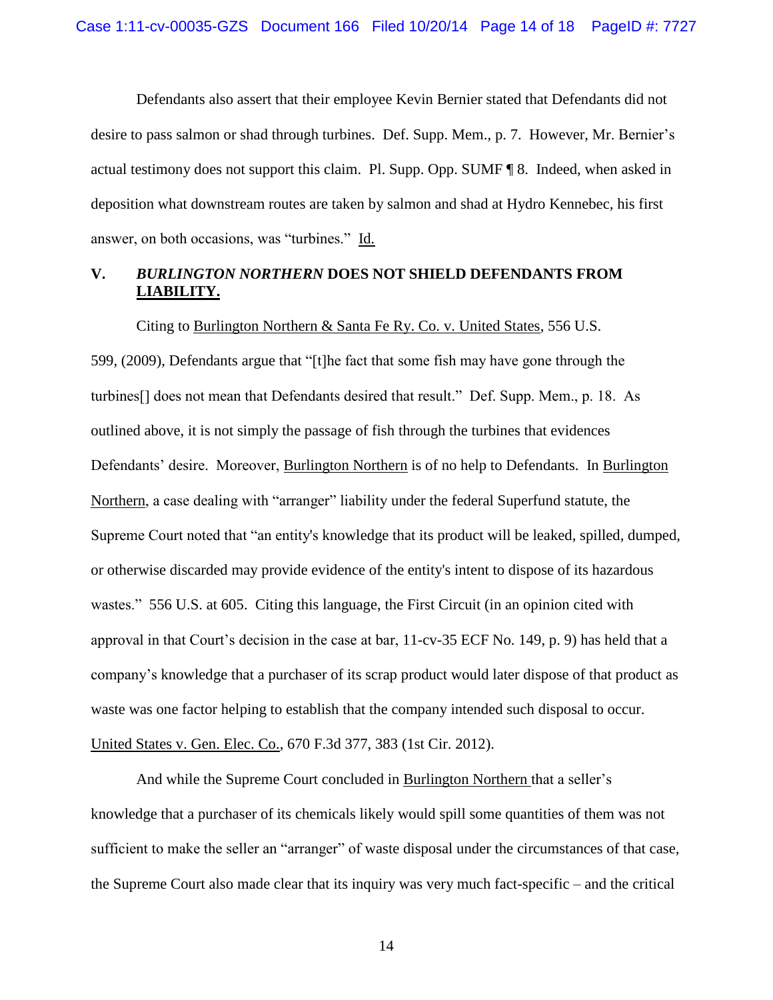Defendants also assert that their employee Kevin Bernier stated that Defendants did not desire to pass salmon or shad through turbines. Def. Supp. Mem., p. 7. However, Mr. Bernier's actual testimony does not support this claim. Pl. Supp. Opp. SUMF ¶ 8. Indeed, when asked in deposition what downstream routes are taken by salmon and shad at Hydro Kennebec, his first answer, on both occasions, was "turbines." Id.

# **V.** *BURLINGTON NORTHERN* **DOES NOT SHIELD DEFENDANTS FROM LIABILITY.**

Citing to Burlington Northern & Santa Fe Ry. Co. v. United States, 556 U.S. 599, (2009), Defendants argue that "[t]he fact that some fish may have gone through the turbines[] does not mean that Defendants desired that result." Def. Supp. Mem., p. 18. As outlined above, it is not simply the passage of fish through the turbines that evidences Defendants' desire. Moreover, Burlington Northern is of no help to Defendants. In Burlington Northern, a case dealing with "arranger" liability under the federal Superfund statute, the Supreme Court noted that "an entity's knowledge that its product will be leaked, spilled, dumped, or otherwise discarded may provide evidence of the entity's intent to dispose of its hazardous wastes." 556 U.S. at 605. Citing this language, the First Circuit (in an opinion cited with approval in that Court's decision in the case at bar, 11-cv-35 ECF No. 149, p. 9) has held that a company's knowledge that a purchaser of its scrap product would later dispose of that product as waste was one factor helping to establish that the company intended such disposal to occur. United States v. Gen. Elec. Co., 670 F.3d 377, 383 (1st Cir. 2012).

And while the Supreme Court concluded in Burlington Northern that a seller's knowledge that a purchaser of its chemicals likely would spill some quantities of them was not sufficient to make the seller an "arranger" of waste disposal under the circumstances of that case, the Supreme Court also made clear that its inquiry was very much fact-specific – and the critical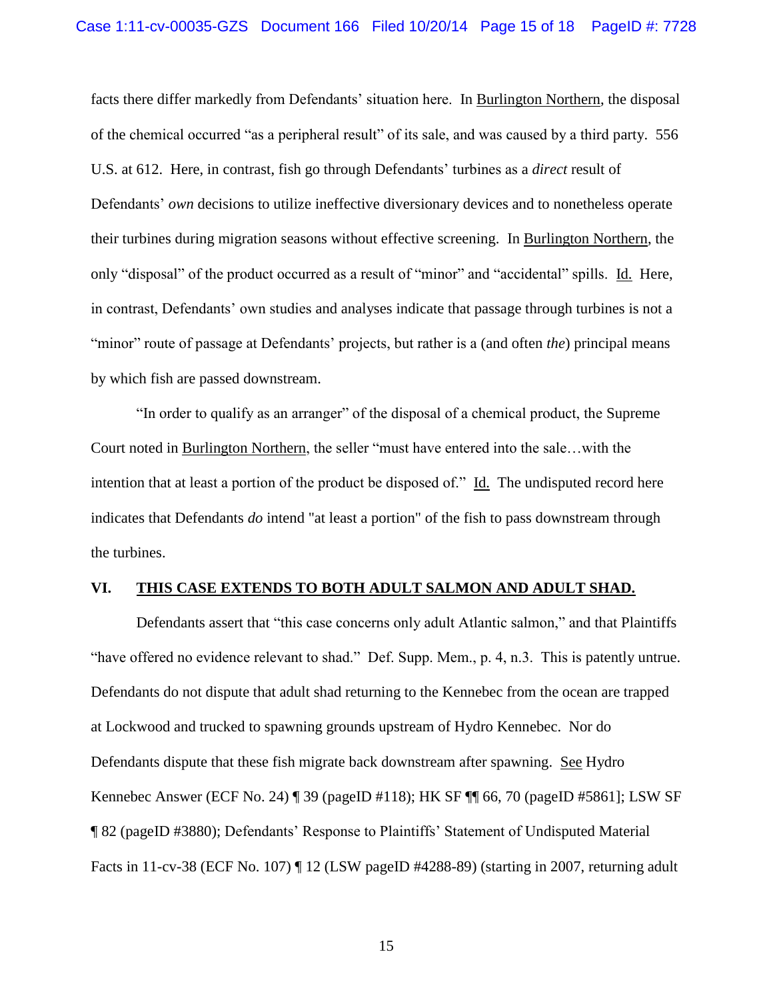facts there differ markedly from Defendants' situation here. In Burlington Northern, the disposal of the chemical occurred "as a peripheral result" of its sale, and was caused by a third party. 556 U.S. at 612. Here, in contrast, fish go through Defendants' turbines as a *direct* result of Defendants' *own* decisions to utilize ineffective diversionary devices and to nonetheless operate their turbines during migration seasons without effective screening. In Burlington Northern, the only "disposal" of the product occurred as a result of "minor" and "accidental" spills. Id. Here, in contrast, Defendants' own studies and analyses indicate that passage through turbines is not a "minor" route of passage at Defendants' projects, but rather is a (and often *the*) principal means by which fish are passed downstream.

"In order to qualify as an arranger" of the disposal of a chemical product, the Supreme Court noted in Burlington Northern, the seller "must have entered into the sale…with the intention that at least a portion of the product be disposed of." Id. The undisputed record here indicates that Defendants *do* intend "at least a portion" of the fish to pass downstream through the turbines.

#### **VI. THIS CASE EXTENDS TO BOTH ADULT SALMON AND ADULT SHAD.**

Defendants assert that "this case concerns only adult Atlantic salmon," and that Plaintiffs "have offered no evidence relevant to shad." Def. Supp. Mem., p. 4, n.3. This is patently untrue. Defendants do not dispute that adult shad returning to the Kennebec from the ocean are trapped at Lockwood and trucked to spawning grounds upstream of Hydro Kennebec. Nor do Defendants dispute that these fish migrate back downstream after spawning. See Hydro Kennebec Answer (ECF No. 24) ¶ 39 (pageID #118); HK SF ¶¶ 66, 70 (pageID #5861]; LSW SF ¶ 82 (pageID #3880); Defendants' Response to Plaintiffs' Statement of Undisputed Material Facts in 11-cv-38 (ECF No. 107) ¶ 12 (LSW pageID #4288-89) (starting in 2007, returning adult

15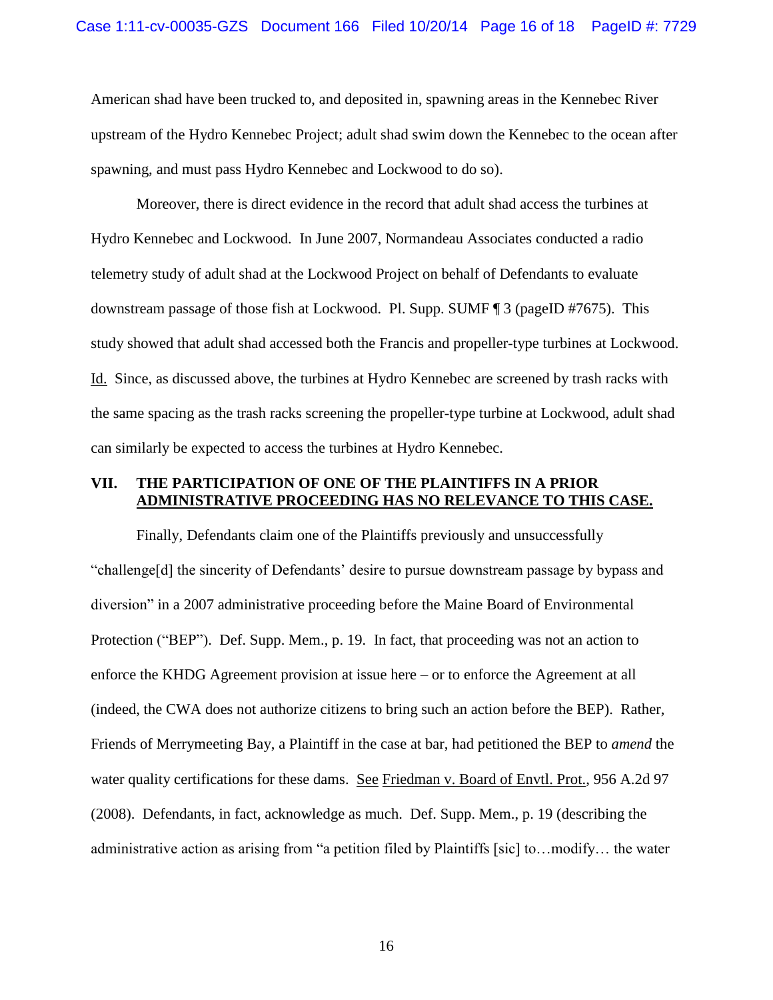American shad have been trucked to, and deposited in, spawning areas in the Kennebec River upstream of the Hydro Kennebec Project; adult shad swim down the Kennebec to the ocean after spawning, and must pass Hydro Kennebec and Lockwood to do so).

Moreover, there is direct evidence in the record that adult shad access the turbines at Hydro Kennebec and Lockwood. In June 2007, Normandeau Associates conducted a radio telemetry study of adult shad at the Lockwood Project on behalf of Defendants to evaluate downstream passage of those fish at Lockwood. Pl. Supp. SUMF ¶ 3 (pageID #7675). This study showed that adult shad accessed both the Francis and propeller-type turbines at Lockwood. Id. Since, as discussed above, the turbines at Hydro Kennebec are screened by trash racks with the same spacing as the trash racks screening the propeller-type turbine at Lockwood, adult shad can similarly be expected to access the turbines at Hydro Kennebec.

### **VII. THE PARTICIPATION OF ONE OF THE PLAINTIFFS IN A PRIOR ADMINISTRATIVE PROCEEDING HAS NO RELEVANCE TO THIS CASE.**

Finally, Defendants claim one of the Plaintiffs previously and unsuccessfully "challenge[d] the sincerity of Defendants' desire to pursue downstream passage by bypass and diversion" in a 2007 administrative proceeding before the Maine Board of Environmental Protection ("BEP"). Def. Supp. Mem., p. 19. In fact, that proceeding was not an action to enforce the KHDG Agreement provision at issue here – or to enforce the Agreement at all (indeed, the CWA does not authorize citizens to bring such an action before the BEP). Rather, Friends of Merrymeeting Bay, a Plaintiff in the case at bar, had petitioned the BEP to *amend* the water quality certifications for these dams. See Friedman v. Board of Envtl. Prot., 956 A.2d 97 (2008). Defendants, in fact, acknowledge as much. Def. Supp. Mem., p. 19 (describing the administrative action as arising from "a petition filed by Plaintiffs [sic] to…modify… the water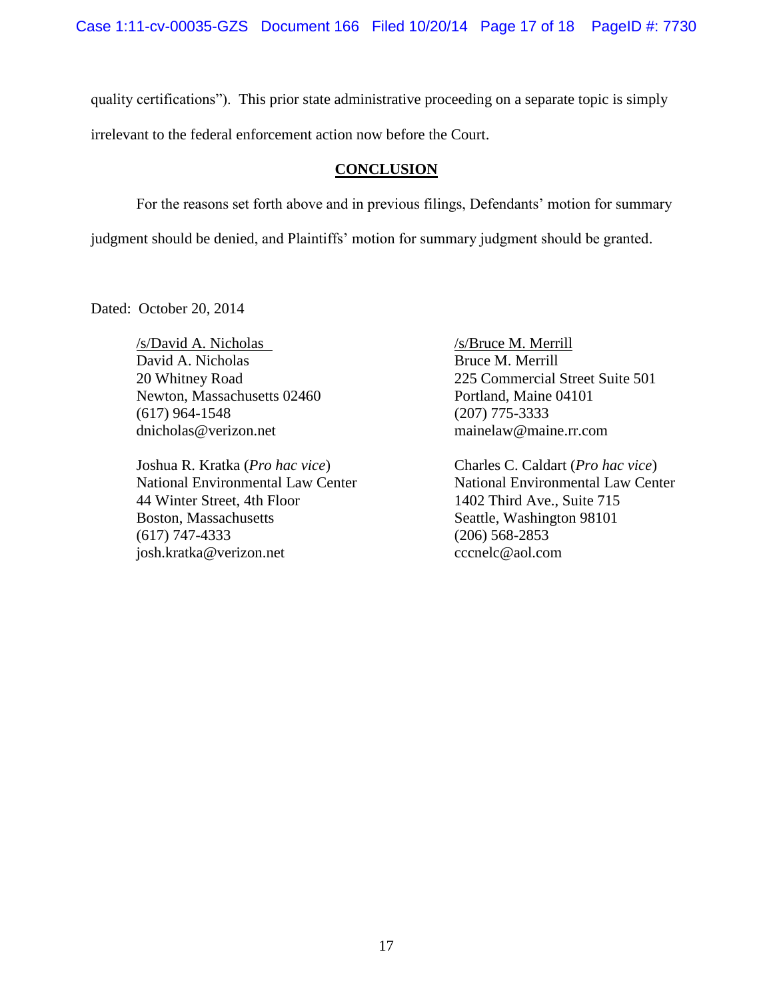Case 1:11-cv-00035-GZS Document 166 Filed 10/20/14 Page 17 of 18 PageID #: 7730

quality certifications"). This prior state administrative proceeding on a separate topic is simply

irrelevant to the federal enforcement action now before the Court.

# **CONCLUSION**

For the reasons set forth above and in previous filings, Defendants' motion for summary

judgment should be denied, and Plaintiffs' motion for summary judgment should be granted.

Dated: October 20, 2014

*s*/David A. Nicholas /s/Bruce M. Merrill<br>David A. Nicholas /s/Bruce M. Merrill David A. Nicholas Newton, Massachusetts 02460 Portland, Maine 04101 (617) 964-1548 (207) 775-3333 dnicholas@verizon.net mainelaw@maine.rr.com

Joshua R. Kratka (*Pro hac vice*) Charles C. Caldart (*Pro hac vice*) 44 Winter Street, 4th Floor 1402 Third Ave., Suite 715 Boston, Massachusetts Seattle, Washington 98101 (617) 747-4333 (206) 568-2853 josh.kratka@verizon.net cccnelc@aol.com

20 Whitney Road 225 Commercial Street Suite 501

National Environmental Law Center National Environmental Law Center